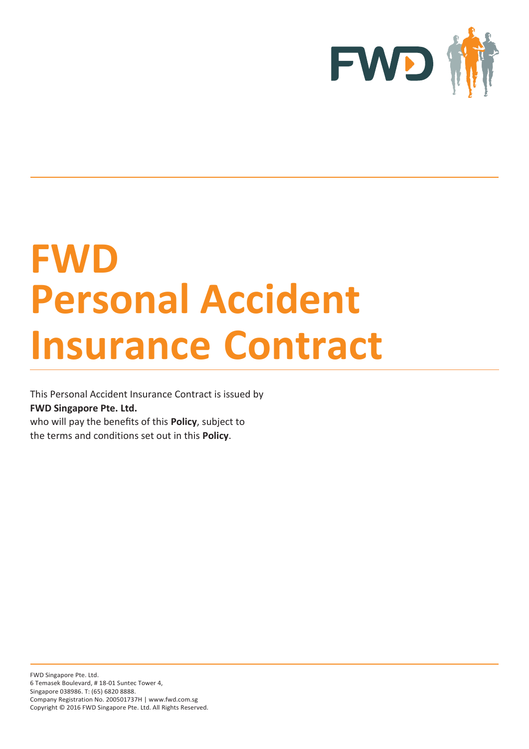

# **FWD Personal Accident Insurance Contract**

This Personal Accident Insurance Contract is issued by **FWD Singapore Pte. Ltd.**

who will pay the benefits of this **Policy**, subject to the terms and conditions set out in this **Policy**.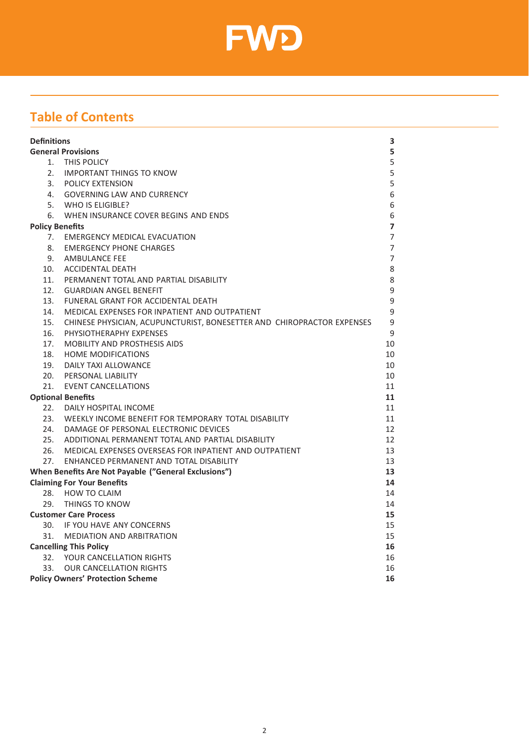

# **Table of Contents**

| <b>Definitions</b>                      |                                                                        |                |  |  |  |
|-----------------------------------------|------------------------------------------------------------------------|----------------|--|--|--|
| <b>General Provisions</b>               |                                                                        |                |  |  |  |
|                                         | 1. THIS POLICY                                                         | 5              |  |  |  |
|                                         | 2. IMPORTANT THINGS TO KNOW                                            | 5              |  |  |  |
|                                         | 3. POLICY EXTENSION                                                    | 5              |  |  |  |
|                                         | 4. GOVERNING LAW AND CURRENCY                                          | 6              |  |  |  |
|                                         | 5. WHO IS ELIGIBLE?                                                    | 6              |  |  |  |
|                                         | 6. WHEN INSURANCE COVER BEGINS AND ENDS                                | 6              |  |  |  |
| <b>Policy Benefits</b>                  |                                                                        |                |  |  |  |
| 7.                                      | <b>EMERGENCY MEDICAL EVACUATION</b>                                    | $\overline{7}$ |  |  |  |
| 8.                                      | <b>EMERGENCY PHONE CHARGES</b>                                         | $\overline{7}$ |  |  |  |
| 9.                                      | AMBULANCE FEE                                                          | $\overline{7}$ |  |  |  |
| 10.                                     | <b>ACCIDENTAL DEATH</b>                                                | 8              |  |  |  |
|                                         | 11. PERMANENT TOTAL AND PARTIAL DISABILITY                             | 8              |  |  |  |
|                                         | 12. GUARDIAN ANGEL BENEFIT                                             | 9              |  |  |  |
| 13.                                     | FUNERAL GRANT FOR ACCIDENTAL DEATH                                     | 9              |  |  |  |
| 14.                                     | MEDICAL EXPENSES FOR INPATIENT AND OUTPATIENT                          | 9              |  |  |  |
| 15.                                     | CHINESE PHYSICIAN, ACUPUNCTURIST, BONESETTER AND CHIROPRACTOR EXPENSES | 9              |  |  |  |
| 16.                                     | PHYSIOTHERAPHY EXPENSES                                                | 9              |  |  |  |
| 17 <sub>1</sub>                         | <b>MOBILITY AND PROSTHESIS AIDS</b>                                    | 10             |  |  |  |
| 18.                                     | <b>HOME MODIFICATIONS</b>                                              | 10             |  |  |  |
| 19.                                     | DAILY TAXI ALLOWANCE                                                   | 10             |  |  |  |
|                                         | 20. PERSONAL LIABILITY                                                 | 10             |  |  |  |
|                                         | 21. EVENT CANCELLATIONS                                                | 11             |  |  |  |
| <b>Optional Benefits</b>                |                                                                        |                |  |  |  |
| 22.                                     | DAILY HOSPITAL INCOME                                                  | 11             |  |  |  |
|                                         | 23. WEEKLY INCOME BENEFIT FOR TEMPORARY TOTAL DISABILITY               | 11             |  |  |  |
|                                         | 24. DAMAGE OF PERSONAL ELECTRONIC DEVICES                              | 12             |  |  |  |
|                                         | 25. ADDITIONAL PERMANENT TOTAL AND PARTIAL DISABILITY                  | 12             |  |  |  |
|                                         | 26. MEDICAL EXPENSES OVERSEAS FOR INPATIENT AND OUTPATIENT             | 13             |  |  |  |
|                                         | 27. ENHANCED PERMANENT AND TOTAL DISABILITY                            | 13             |  |  |  |
|                                         | When Benefits Are Not Payable ("General Exclusions")                   | 13             |  |  |  |
|                                         | <b>Claiming For Your Benefits</b>                                      | 14             |  |  |  |
|                                         | 28. HOW TO CLAIM                                                       | 14             |  |  |  |
|                                         | 29. THINGS TO KNOW                                                     | 14             |  |  |  |
|                                         | <b>Customer Care Process</b>                                           | 15             |  |  |  |
|                                         | 30. IF YOU HAVE ANY CONCERNS                                           | 15             |  |  |  |
|                                         | 31. MEDIATION AND ARBITRATION                                          | 15             |  |  |  |
| <b>Cancelling This Policy</b>           |                                                                        |                |  |  |  |
|                                         | 32. YOUR CANCELLATION RIGHTS                                           | 16             |  |  |  |
| 33.                                     | <b>OUR CANCELLATION RIGHTS</b>                                         | 16<br>16       |  |  |  |
| <b>Policy Owners' Protection Scheme</b> |                                                                        |                |  |  |  |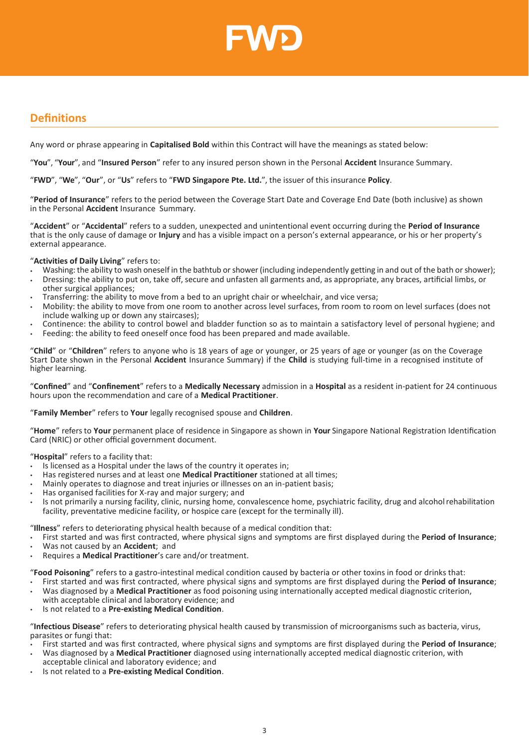

# <span id="page-2-0"></span>**Definitions**

Any word or phrase appearing in **Capitalised Bold** within this Contract will have the meanings as stated below:

"**You**", "**Your**", and "**Insured Person**" refer to any insured person shown in the Personal **Accident** Insurance Summary.

"**FWD**", "**We**", "**Our**", or "**Us**" refers to "**FWD Singapore Pte. Ltd.**", the issuer of this insurance **Policy**.

"**Period of Insurance**" refers to the period between the Coverage Start Date and Coverage End Date (both inclusive) as shown in the Personal **Accident** Insurance Summary.

"**Accident**" or "**Accidental**" refers to a sudden, unexpected and unintentional event occurring during the **Period of Insurance**  that is the only cause of damage or **Injury** and has a visible impact on a person's external appearance, or his or her property's external appearance.

"**Activities of Daily Living**" refers to:

- Washing: the ability to wash oneself in the bathtub or shower (including independently getting in and out of the bath or shower);
- Dressing: the ability to put on, take off, secure and unfasten all garments and, as appropriate, any braces, artificial limbs, or other surgical appliances;
- Transferring: the ability to move from a bed to an upright chair or wheelchair, and vice versa;
- Mobility: the ability to move from one room to another across level surfaces, from room to room on level surfaces (does not include walking up or down any staircases);
- Continence: the ability to control bowel and bladder function so as to maintain a satisfactory level of personal hygiene; and
- Feeding: the ability to feed oneself once food has been prepared and made available.

"**Child**" or "**Children**" refers to anyone who is 18 years of age or younger, or 25 years of age or younger (as on the Coverage Start Date shown in the Personal **Accident** Insurance Summary) if the **Child** is studying full-time in a recognised institute of higher learning.

"**Confined**" and "**Confinement**" refers to a **Medically Necessary** admission in a **Hospital** as a resident in-patient for 24 continuous hours upon the recommendation and care of a **Medical Practitioner**.

## "**Family Member**" refers to **Your** legally recognised spouse and **Children**.

"**Home**" refers to **Your** permanent place of residence in Singapore as shown in **Your** Singapore National Registration Identification Card (NRIC) or other official government document.

## "**Hospital**" refers to a facility that:

- Is licensed as a Hospital under the laws of the country it operates in;
- Has registered nurses and at least one **Medical Practitioner** stationed at all times;
- Mainly operates to diagnose and treat injuries or illnesses on an in-patient basis;
- Has organised facilities for X-ray and major surgery; and
- Is not primarily a nursing facility, clinic, nursing home, convalescence home, psychiatric facility, drug and alcoholrehabilitation facility, preventative medicine facility, or hospice care (except for the terminally ill).

## "**Illness**" refers to deteriorating physical health because of a medical condition that:

- First started and was first contracted, where physical signs and symptoms are first displayed during the **Period of Insurance**;
- Was not caused by an **Accident**; and
- Requires a **Medical Practitioner**'s care and/or treatment.

"**Food Poisoning**" refers to a gastro-intestinal medical condition caused by bacteria or other toxins in food or drinks that:

- First started and was first contracted, where physical signs and symptoms are first displayed during the **Period of Insurance**; • Was diagnosed by a **Medical Practitioner** as food poisoning using internationally accepted medical diagnostic criterion, with acceptable clinical and laboratory evidence; and
- Is not related to a **Pre-existing Medical Condition**.

"**Infectious Disease**" refers to deteriorating physical health caused by transmission of microorganisms such as bacteria, virus, parasites or fungi that:

- First started and was first contracted, where physical signs and symptoms are first displayed during the **Period of Insurance**;
- Was diagnosed by a **Medical Practitioner** diagnosed using internationally accepted medical diagnostic criterion, with acceptable clinical and laboratory evidence; and
- Is not related to a **Pre-existing Medical Condition**.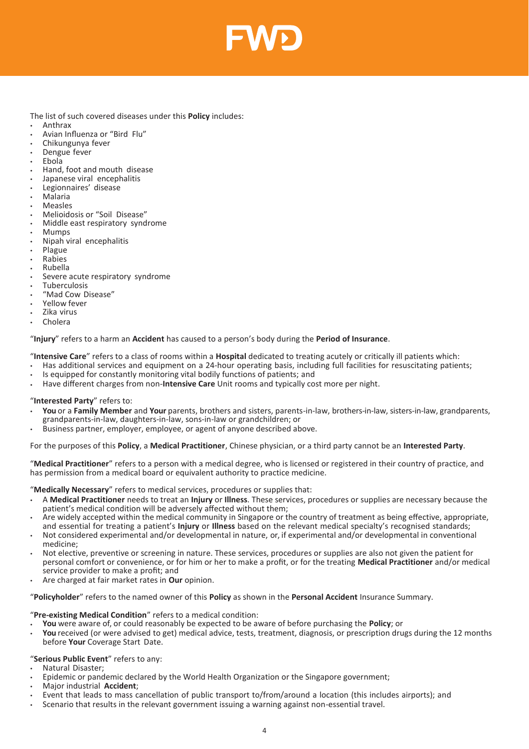

The list of such covered diseases under this **Policy** includes:

- Anthrax
- Avian Influenza or "Bird Flu"
- Chikungunya fever
- Dengue fever
- Ebola
- Hand, foot and mouth disease
- Japanese viral encephalitis
- Legionnaires' disease
- Malaria
- **Measles**
- Melioidosis or "Soil Disease"
- Middle east respiratory syndrome
- Mumps
- Nipah viral encephalitis
- Plague
- Rabies
- Rubella
- Severe acute respiratory syndrome
- **Tuberculosis**
- "Mad Cow Disease"
- Yellow fever
- Zika virus
- Cholera

#### "**Injury**" refers to a harm an **Accident** has caused to a person's body during the **Period of Insurance**.

"**Intensive Care**" refers to a class of rooms within a **Hospital** dedicated to treating acutely or critically ill patients which:

- Has additional services and equipment on a 24-hour operating basis, including full facilities for resuscitating patients;
- Is equipped for constantly monitoring vital bodily functions of patients; and
- Have different charges from non-**Intensive Care** Unit rooms and typically cost more per night.

#### "**Interested Party**" refers to:

- **You** or a **Family Member** and **Your** parents, brothers and sisters, parents-in-law, brothers-in-law, sisters-in-law, grandparents, grandparents-in-law, daughters-in-law, sons-in-law or grandchildren; or
- Business partner, employer, employee, or agent of anyone described above.

For the purposes of this **Policy**, a **Medical Practitioner**, Chinese physician, or a third party cannot be an **Interested Party**.

"**Medical Practitioner**" refers to a person with a medical degree, who is licensed or registered in their country of practice, and has permission from a medical board or equivalent authority to practice medicine.

"**Medically Necessary**" refers to medical services, procedures or supplies that:

- A **Medical Practitioner** needs to treat an **Injury** or **Illness**. These services, procedures or supplies are necessary because the patient's medical condition will be adversely affected without them;
- Are widely accepted within the medical community in Singapore or the country of treatment as being effective, appropriate, and essential for treating a patient's **Injury** or **Illness** based on the relevant medical specialty's recognised standards;
- Not considered experimental and/or developmental in nature, or, if experimental and/or developmental in conventional medicine;
- Not elective, preventive or screening in nature. These services, procedures or supplies are also not given the patient for personal comfort or convenience, or for him or her to make a profit, or for the treating **Medical Practitioner** and/or medical service provider to make a profit; and
- Are charged at fair market rates in **Our** opinion.

"**Policyholder**" refers to the named owner of this **Policy** as shown in the **Personal Accident** Insurance Summary.

## "**Pre-existing Medical Condition**" refers to a medical condition:

- **You** were aware of, or could reasonably be expected to be aware of before purchasing the **Policy**; or
- You received (or were advised to get) medical advice, tests, treatment, diagnosis, or prescription drugs during the 12 months before **Your** Coverage Start Date.

## "**Serious Public Event**" refers to any:

- Natural Disaster;
- Epidemic or pandemic declared by the World Health Organization or the Singapore government;
- Major industrial **Accident**;
- Event that leads to mass cancellation of public transport to/from/around a location (this includes airports); and
- Scenario that results in the relevant government issuing a warning against non-essential travel.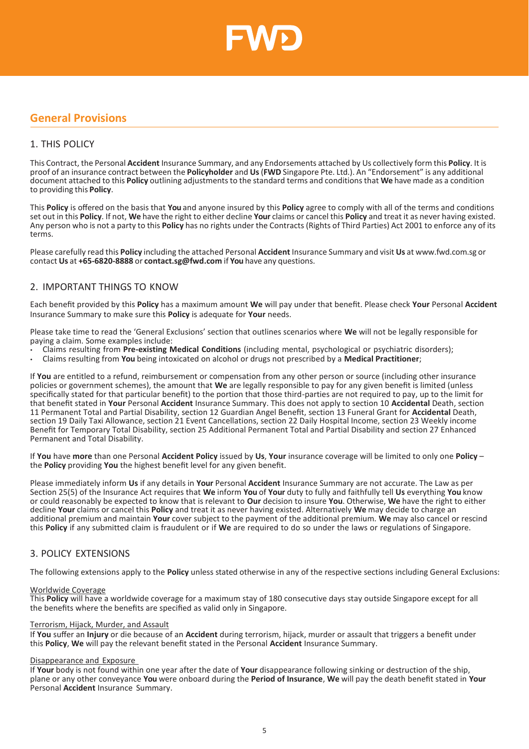

# <span id="page-4-0"></span>**General Provisions**

# <span id="page-4-1"></span>1. THIS POLICY

This Contract, the Personal **Accident** Insurance Summary, and any Endorsements attached by Us collectively form this **Policy**. It is proof of an insurance contract between the **Policyholder** and **Us**(**FWD** Singapore Pte. Ltd.). An "Endorsement" is any additional document attached to this **Policy** outlining adjustmentsto the standard terms and conditionsthat **We** have made as a condition to providing this **Policy**.

This **Policy** is offered on the basis that **You** and anyone insured by this **Policy** agree to comply with all of the terms and conditions set out in this **Policy**. If not, **We** have the right to either decline **Your** claims or cancel this **Policy** and treat it as never having existed. Any person who is not a party to this **Policy** has no rights under the Contracts (Rights of Third Parties) Act 2001 to enforce any of its terms.

Please carefully read this **Policy** including the attached Personal **Accident** Insurance Summary and visit **Us** at [www.fwd.com.sg](http://www.fwd.com.sg/) or contact **Us** at **+65-6820-8888** or **[contact.sg@fwd.com](mailto:contact.sg@fwd.com)** if **You** have any questions.

# <span id="page-4-2"></span>2. IMPORTANT THINGS TO KNOW

Each benefit provided by this **Policy** has a maximum amount **We** will pay under that benefit. Please check **Your** Personal **Accident** Insurance Summary to make sure this **Policy** is adequate for **Your** needs.

Please take time to read the 'General Exclusions' section that outlines scenarios where **We** will not be legally responsible for paying a claim. Some examples include:

- Claims resulting from **Pre-existing Medical Conditions** (including mental, psychological or psychiatric disorders);
- Claims resulting from **You** being intoxicated on alcohol or drugs not prescribed by a **Medical Practitioner**;

If **You** are entitled to a refund, reimbursement or compensation from any other person or source (including other insurance policies or government schemes), the amount that **We** are legally responsible to pay for any given benefit is limited (unless specifically stated for that particular benefit) to the portion that those third-parties are not required to pay, up to the limit for that benefit stated in **Your** Personal **Accident** Insurance Summary. This does not apply to section 10 **Accidental** Death, section 11 Permanent Total and Partial Disability, section 12 Guardian Angel Benefit, section 13 Funeral Grant for **Accidental** Death, section 19 Daily Taxi Allowance, section 21 Event Cancellations, section 22 Daily Hospital Income, section 23 Weekly income Benefit for Temporary Total Disability, section 25 Additional Permanent Total and Partial Disability and section 27 Enhanced Permanent and Total Disability.

If **You** have **more** than one Personal **Accident Policy** issued by **Us**, **Your** insurance coverage will be limited to only one **Policy** – the **Policy** providing **You** the highest benefit level for any given benefit.

Please immediately inform **Us** if any details in **Your** Personal **Accident** Insurance Summary are not accurate. The Law as per Section 25(5) of the Insurance Act requires that **We** inform **You** of **Your** duty to fully and faithfully tell **Us** everything **You** know or could reasonably be expected to know that is relevant to **Our** decision to insure **You**. Otherwise, **We** have the right to either decline **Your** claims or cancel this **Policy** and treat it as never having existed. Alternatively **We** may decide to charge an additional premium and maintain **Your** cover subject to the payment of the additional premium. **We** may also cancel or rescind this **Policy** if any submitted claim is fraudulent or if **We** are required to do so under the laws or regulations of Singapore.

# 3. POLICY EXTENSIONS

The following extensions apply to the **Policy** unless stated otherwise in any of the respective sections including General Exclusions:

#### Worldwide Coverage

This **Policy** will have a worldwide coverage for a maximum stay of 180 consecutive days stay outside Singapore except for all the benefits where the benefits are specified as valid only in Singapore.

#### Terrorism, Hijack, Murder, and Assault

If **You** suffer an **Injury** or die because of an **Accident** during terrorism, hijack, murder or assault that triggers a benefit under this **Policy**, **We** will pay the relevant benefit stated in the Personal **Accident** Insurance Summary.

#### Disappearance and Exposure

If **Your** body is not found within one year after the date of **Your** disappearance following sinking or destruction of the ship, plane or any other conveyance **You** were onboard during the **Period of Insurance**, **We** will pay the death benefit stated in **Your**  Personal **Accident** Insurance Summary.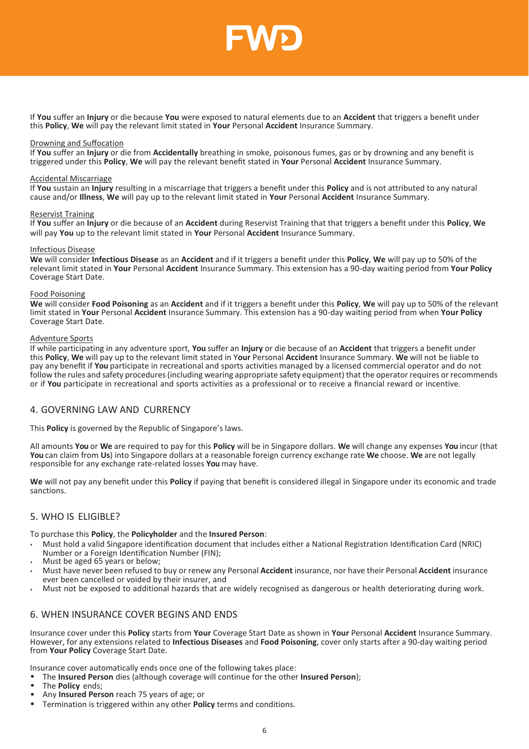

If **You** suffer an **Injury** or die because **You** were exposed to natural elements due to an **Accident** that triggers a benefit under this **Policy**, **We** will pay the relevant limit stated in **Your** Personal **Accident** Insurance Summary.

#### Drowning and Suffocation

If **You** suffer an **Injury** or die from **Accidentally** breathing in smoke, poisonous fumes, gas or by drowning and any benefit is triggered under this **Policy**, **We** will pay the relevant benefit stated in **Your** Personal **Accident** Insurance Summary.

#### Accidental Miscarriage

If **You** sustain an **Injury** resulting in a miscarriage that triggers a benefit under this **Policy** and is not attributed to any natural cause and/or **Illness**, **We** will pay up to the relevant limit stated in **Your** Personal **Accident** Insurance Summary.

#### Reservist Training

If **You** suffer an **Injury** or die because of an **Accident** during Reservist Training that that triggers a benefit under this **Policy**, **We** will pay **You** up to the relevant limit stated in **Your** Personal **Accident** Insurance Summary.

#### Infectious Disease

**We** will consider **Infectious Disease** as an **Accident** and if it triggers a benefit under this **Policy**, **We** will pay up to 50% of the relevant limit stated in **Your** Personal **Accident** Insurance Summary. This extension has a 90-day waiting period from **Your Policy**  Coverage Start Date.

#### Food Poisoning

**We** will consider **Food Poisoning** as an **Accident** and if it triggers a benefit under this **Policy**, **We** will pay up to 50% of the relevant limit stated in **Your** Personal **Accident** Insurance Summary. This extension has a 90-day waiting period from when **Your Policy**  Coverage Start Date.

#### Adventure Sports

If while participating in any adventure sport, **You** suffer an **Injury** or die because of an **Accident** that triggers a benefit under this **Policy**, **We** will pay up to the relevant limit stated in Y**our** Personal **Accident** Insurance Summary. **We** will not be liable to pay any benefit if **You** participate in recreational and sports activities managed by a licensed commercial operator and do not follow the rules and safety procedures (including wearing appropriate safety equipment) that the operator requires or recommends or if **You** participate in recreational and sports activities as a professional or to receive a financial reward or incentive.

## <span id="page-5-0"></span>4. GOVERNING LAW AND CURRENCY

This **Policy** is governed by the Republic of Singapore's laws.

All amounts **You** or **We** are required to pay for this **Policy** will be in Singapore dollars. **We** will change any expenses **You** incur (that **You** can claim from **Us**) into Singapore dollars at a reasonable foreign currency exchange rate **We** choose. **We** are not legally responsible for any exchange rate-related losses **You** may have.

**We** will not pay any benefit under this **Policy** if paying that benefit is considered illegal in Singapore under its economic and trade sanctions.

## <span id="page-5-1"></span>5. WHO IS ELIGIBLE?

To purchase this **Policy**, the **Policyholder** and the **Insured Person**:

- Must hold a valid Singapore identification document that includes either a National Registration Identification Card (NRIC) Number or a Foreign Identification Number (FIN);
- Must be aged 65 years or below;
- Must have never been refused to buy or renew any Personal **Accident** insurance, nor have their Personal **Accident** insurance ever been cancelled or voided by their insurer, and
- Must not be exposed to additional hazards that are widely recognised as dangerous or health deteriorating during work.

## <span id="page-5-2"></span>6. WHEN INSURANCE COVER BEGINS AND ENDS

Insurance cover under this **Policy** starts from **Your** Coverage Start Date as shown in **Your** Personal **Accident** Insurance Summary. However, for any extensions related to **Infectious Diseases** and **Food Poisoning**, cover only starts after a 90-day waiting period from **Your Policy** Coverage Start Date.

Insurance cover automatically ends once one of the following takes place:

- The **Insured Person** dies (although coverage will continue for the other **Insured Person**);
- The **Policy** ends;
- Any **Insured Person** reach 75 years of age; or
- Termination is triggered within any other **Policy** terms and conditions.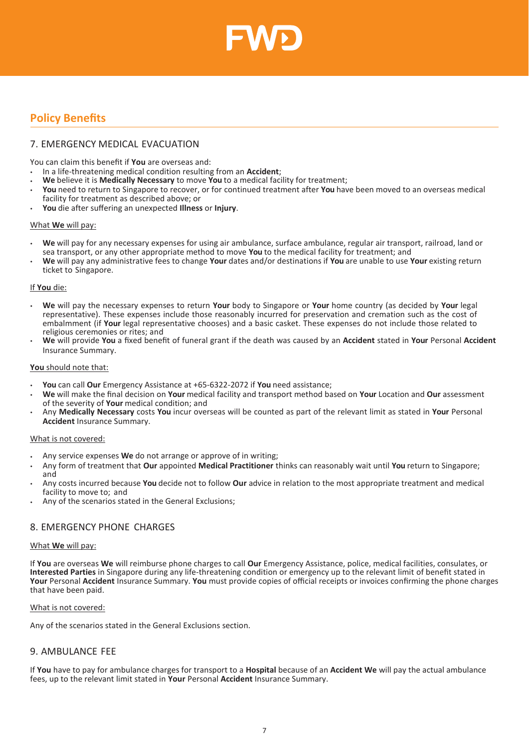

# <span id="page-6-0"></span>**Policy Benefits**

# <span id="page-6-1"></span>7. EMERGENCY MEDICAL EVACUATION

You can claim this benefit if **You** are overseas and:

- In a life-threatening medical condition resulting from an **Accident**;
- **We** believe it is **Medically Necessary** to move **You** to a medical facility for treatment;
- **You** need to return to Singapore to recover, or for continued treatment after **You** have been moved to an overseas medical facility for treatment as described above; or
- **You** die after suffering an unexpected **Illness** or **Injury**.

#### What **We** will pay:

- **We** will pay for any necessary expenses for using air ambulance, surface ambulance, regular air transport, railroad, land or sea transport, or any other appropriate method to move **You** to the medical facility for treatment; and
- **We** will pay any administrative fees to change **Your** dates and/or destinations if **You** are unable to use **Your** existing return ticket to Singapore.

#### If **You** die:

- **We** will pay the necessary expenses to return **Your** body to Singapore or **Your** home country (as decided by **Your** legal representative). These expenses include those reasonably incurred for preservation and cremation such as the cost of embalmment (if **Your** legal representative chooses) and a basic casket. These expenses do not include those related to religious ceremonies or rites; and
- **We** will provide **You** a fixed benefit of funeral grant if the death was caused by an **Accident** stated in **Your** Personal **Accident** Insurance Summary.

#### **You** should note that:

- **You** can call **Our** Emergency Assistance at +65-6322-2072 if **You** need assistance;
- **We** will make the final decision on **Your** medical facility and transport method based on **Your** Location and **Our** assessment of the severity of **Your** medical condition; and
- Any **Medically Necessary** costs **You** incur overseas will be counted as part of the relevant limit as stated in **Your** Personal **Accident** Insurance Summary.

#### What is not covered:

- Any service expenses **We** do not arrange or approve of in writing;
- Any form of treatment that **Our** appointed **Medical Practitioner** thinks can reasonably wait until **You** return to Singapore; and
- Any costs incurred because **You** decide not to follow **Our** advice in relation to the most appropriate treatment and medical facility to move to; and
- Any of the scenarios stated in the General Exclusions;

# <span id="page-6-2"></span>8. EMERGENCY PHONE CHARGES

#### What **We** will pay:

If **You** are overseas **We** will reimburse phone charges to call **Our** Emergency Assistance, police, medical facilities, consulates, or **Interested Parties** in Singapore during any life-threatening condition or emergency up to the relevant limit of benefit stated in **Your** Personal **Accident** Insurance Summary. **You** must provide copies of official receipts or invoices confirming the phone charges that have been paid.

#### What is not covered:

Any of the scenarios stated in the General Exclusions section.

## <span id="page-6-3"></span>9. AMBULANCE FEE

If **You** have to pay for ambulance charges for transport to a **Hospital** because of an **Accident We** will pay the actual ambulance fees, up to the relevant limit stated in **Your** Personal **Accident** Insurance Summary.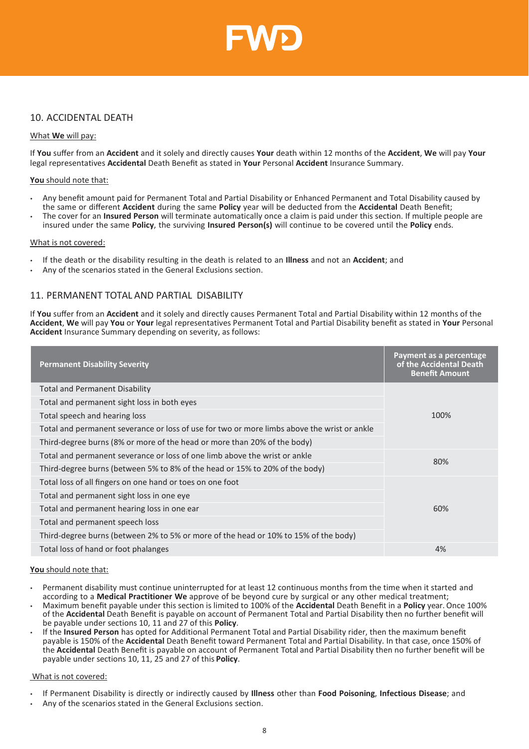

# <span id="page-7-0"></span>10. ACCIDENTAL DEATH

#### What **We** will pay:

If **You** suffer from an **Accident** and it solely and directly causes **Your** death within 12 months of the **Accident**, **We** will pay **Your** legal representatives **Accidental** Death Benefit as stated in **Your** Personal **Accident** Insurance Summary.

#### **You** should note that:

- Any benefit amount paid for Permanent Total and Partial Disability or Enhanced Permanent and Total Disability caused by the same or different **Accident** during the same **Policy** year will be deducted from the **Accidental** Death Benefit;
- The cover for an **Insured Person** will terminate automatically once a claim is paid under this section. If multiple people are insured under the same **Policy**, the surviving **Insured Person(s)** will continue to be covered until the **Policy** ends.

#### What is not covered:

- If the death or the disability resulting in the death is related to an **Illness** and not an **Accident**; and
- Any of the scenarios stated in the General Exclusions section.

# <span id="page-7-1"></span>11. PERMANENT TOTAL AND PARTIAL DISABILITY

If **You** suffer from an **Accident** and it solely and directly causes Permanent Total and Partial Disability within 12 months of the **Accident**, **We** will pay **You** or **Your** legal representatives Permanent Total and Partial Disability benefit as stated in **Your** Personal **Accident** Insurance Summary depending on severity, as follows:

| <b>Permanent Disability Severity</b>                                                        | Payment as a percentage<br>of the Accidental Death<br><b>Benefit Amount</b> |
|---------------------------------------------------------------------------------------------|-----------------------------------------------------------------------------|
| <b>Total and Permanent Disability</b>                                                       |                                                                             |
| Total and permanent sight loss in both eyes                                                 |                                                                             |
| Total speech and hearing loss                                                               | 100%                                                                        |
| Total and permanent severance or loss of use for two or more limbs above the wrist or ankle |                                                                             |
| Third-degree burns (8% or more of the head or more than 20% of the body)                    |                                                                             |
| Total and permanent severance or loss of one limb above the wrist or ankle                  | 80%                                                                         |
| Third-degree burns (between 5% to 8% of the head or 15% to 20% of the body)                 |                                                                             |
| Total loss of all fingers on one hand or toes on one foot                                   |                                                                             |
| Total and permanent sight loss in one eye                                                   |                                                                             |
| Total and permanent hearing loss in one ear                                                 | 60%                                                                         |
| Total and permanent speech loss                                                             |                                                                             |
| Third-degree burns (between 2% to 5% or more of the head or 10% to 15% of the body)         |                                                                             |
| Total loss of hand or foot phalanges                                                        | 4%                                                                          |

#### **You** should note that:

- Permanent disability must continue uninterrupted for at least 12 continuous months from the time when it started and according to a **Medical Practitioner We** approve of be beyond cure by surgical or any other medical treatment;
- Maximum benefit payable under this section is limited to 100% of the **Accidental** Death Benefit in a **Policy** year. Once 100% of the **Accidental** Death Benefit is payable on account of Permanent Total and Partial Disability then no further benefit will be payable under sections 10, 11 and 27 of this **Policy**.
- If the **Insured Person** has opted for Additional Permanent Total and Partial Disability rider, then the maximum benefit payable is 150% of the **Accidental** Death Benefit toward Permanent Total and Partial Disability. In that case, once 150% of the **Accidental** Death Benefit is payable on account of Permanent Total and Partial Disability then no further benefit will be payable under sections 10, 11, 25 and 27 of this **Policy**.

#### What is not covered:

- If Permanent Disability is directly or indirectly caused by **Illness** other than **Food Poisoning**, **Infectious Disease**; and
- Any of the scenarios stated in the General Exclusions section.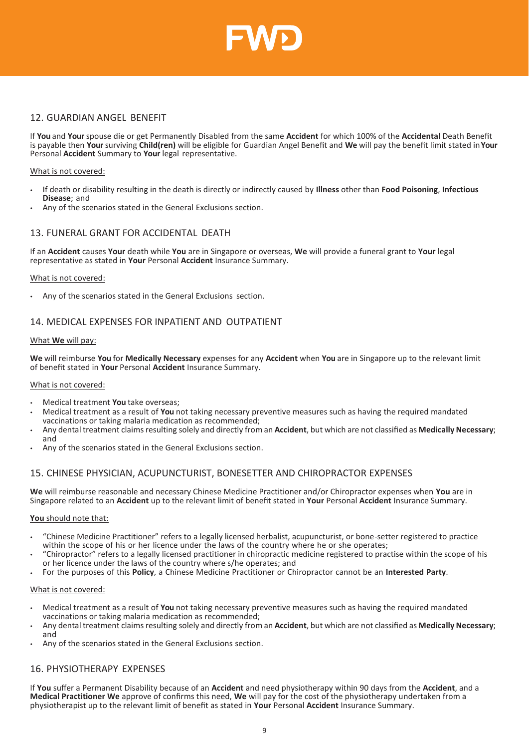

# <span id="page-8-0"></span>12. GUARDIAN ANGEL BENEFIT

If **You** and **Your** spouse die or get Permanently Disabled from the same **Accident** for which 100% of the **Accidental** Death Benefit is payable then **Your** surviving **Child(ren)** will be eligible for Guardian Angel Benefit and **We** will pay the benefit limit stated in**Your**  Personal **Accident** Summary to **Your** legal representative.

#### What is not covered:

- If death or disability resulting in the death is directly or indirectly caused by **Illness** other than **Food Poisoning**, **Infectious Disease**; and
- Any of the scenarios stated in the General Exclusions section.

# <span id="page-8-1"></span>13. FUNERAL GRANT FOR ACCIDENTAL DEATH

If an **Accident** causes **Your** death while **You** are in Singapore or overseas, **We** will provide a funeral grant to **Your** legal representative as stated in **Your** Personal **Accident** Insurance Summary.

#### What is not covered:

• Any of the scenarios stated in the General Exclusions section.

# <span id="page-8-2"></span>14. MEDICAL EXPENSES FOR INPATIENT AND OUTPATIENT

#### What **We** will pay:

**We** will reimburse **You** for **Medically Necessary** expenses for any **Accident** when **You** are in Singapore up to the relevant limit of benefit stated in **Your** Personal **Accident** Insurance Summary.

#### What is not covered:

- Medical treatment **You** take overseas;
- Medical treatment as a result of **You** not taking necessary preventive measures such as having the required mandated vaccinations or taking malaria medication as recommended;
- Any dental treatment claimsresulting solely and directly from an **Accident**, but which are not classified as **Medically Necessary**; and
- Any of the scenarios stated in the General Exclusions section.

# <span id="page-8-3"></span>15. CHINESE PHYSICIAN, ACUPUNCTURIST, BONESETTER AND CHIROPRACTOR EXPENSES

**We** will reimburse reasonable and necessary Chinese Medicine Practitioner and/or Chiropractor expenses when **You** are in Singapore related to an **Accident** up to the relevant limit of benefit stated in **Your** Personal **Accident** Insurance Summary.

#### **You** should note that:

- "Chinese Medicine Practitioner" refers to a legally licensed herbalist, acupuncturist, or bone-setter registered to practice within the scope of his or her licence under the laws of the country where he or she operates;
- "Chiropractor" refers to a legally licensed practitioner in chiropractic medicine registered to practise within the scope of his or her licence under the laws of the country where s/he operates; and
- For the purposes of this **Policy**, a Chinese Medicine Practitioner or Chiropractor cannot be an **Interested Party**.

#### What is not covered:

- Medical treatment as a result of **You** not taking necessary preventive measures such as having the required mandated vaccinations or taking malaria medication as recommended;
- Any dental treatment claimsresulting solely and directly from an **Accident**, but which are not classified as **Medically Necessary**; and
- Any of the scenarios stated in the General Exclusions section.

# 16. PHYSIOTHERAPY EXPENSES

If **You** suffer a Permanent Disability because of an **Accident** and need physiotherapy within 90 days from the **Accident**, and a **Medical Practitioner We** approve of confirms this need, **We** will pay for the cost of the physiotherapy undertaken from a physiotherapist up to the relevant limit of benefit as stated in **Your** Personal **Accident** Insurance Summary.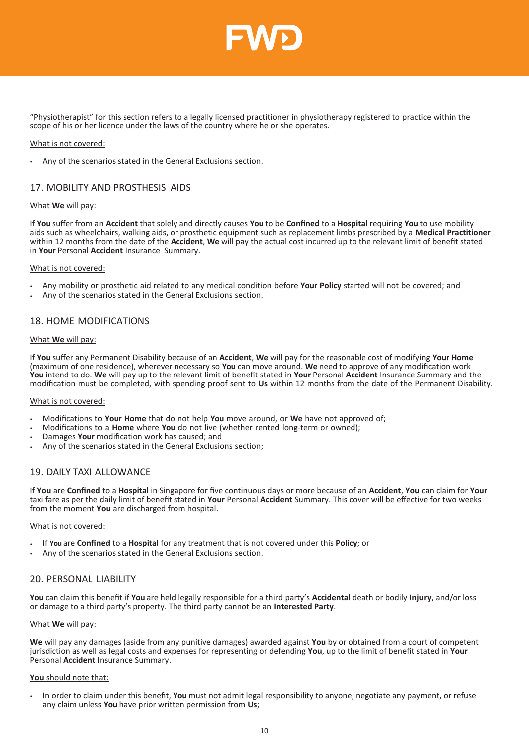

"Physiotherapist" for this section refers to a legally licensed practitioner in physiotherapy registered to practice within the scope of his or her licence under the laws of the country where he or she operates.

#### What is not covered:

• Any of the scenarios stated in the General Exclusions section.

# <span id="page-9-0"></span>17. MOBILITY AND PROSTHESIS AIDS

#### What **We** will pay:

If **You** suffer from an **Accident** that solely and directly causes **You** to be **Confined** to a **Hospital** requiring **You** to use mobility aids such as wheelchairs, walking aids, or prosthetic equipment such as replacement limbs prescribed by a **Medical Practitioner**  within 12 months from the date of the **Accident**, **We** will pay the actual cost incurred up to the relevant limit of benefit stated in **Your** Personal **Accident** Insurance Summary.

#### What is not covered:

- Any mobility or prosthetic aid related to any medical condition before **Your Policy** started will not be covered; and
- Any of the scenarios stated in the General Exclusions section.

# <span id="page-9-1"></span>18. HOME MODIFICATIONS

#### What **We** will pay:

If **You** suffer any Permanent Disability because of an **Accident**, **We** will pay for the reasonable cost of modifying **Your Home**  (maximum of one residence), wherever necessary so **You** can move around. **We** need to approve of any modification work **You** intend to do. **We** will pay up to the relevant limit of benefit stated in **Your** Personal **Accident** Insurance Summary and the modification must be completed, with spending proof sent to **Us** within 12 months from the date of the Permanent Disability.

#### What is not covered:

- Modifications to **Your Home** that do not help **You** move around, or **We** have not approved of;
- Modifications to a **Home** where **You** do not live (whether rented long-term or owned);
- Damages **Your** modification work has caused; and
- Any of the scenarios stated in the General Exclusions section;

# <span id="page-9-2"></span>19. DAILY TAXI ALLOWANCE

If **You** are **Confined** to a **Hospital** in Singapore for five continuous days or more because of an **Accident**, **You** can claim for **Your**  taxi fare as per the daily limit of benefit stated in **Your** Personal **Accident** Summary. This cover will be effective for two weeks from the moment **You** are discharged from hospital.

#### What is not covered:

- If **You** are **Confined** to a **Hospital** for any treatment that is not covered under this **Policy**; or
- Any of the scenarios stated in the General Exclusions section.

# <span id="page-9-3"></span>20. PERSONAL LIABILITY

**You** can claim this benefit if **You** are held legally responsible for a third party's **Accidental** death or bodily **Injury**, and/or loss or damage to a third party's property. The third party cannot be an **Interested Party**.

#### What **We** will pay:

**We** will pay any damages (aside from any punitive damages) awarded against **You** by or obtained from a court of competent jurisdiction as well as legal costs and expenses for representing or defending **You**, up to the limit of benefit stated in **Your**  Personal **Accident** Insurance Summary.

#### **You** should note that:

• In order to claim under this benefit, **You** must not admit legal responsibility to anyone, negotiate any payment, or refuse any claim unless **You** have prior written permission from **Us**;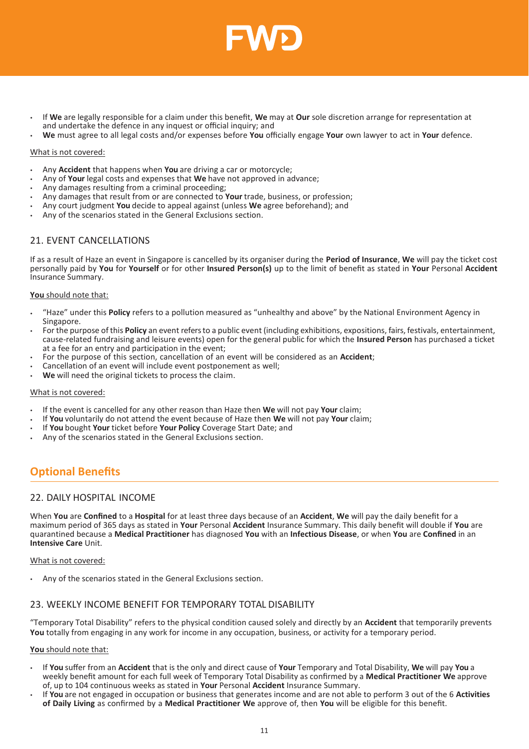

- If **We** are legally responsible for a claim under this benefit, **We** may at **Our** sole discretion arrange for representation at and undertake the defence in any inquest or official inquiry; and
- **We** must agree to all legal costs and/or expenses before **You** officially engage **Your** own lawyer to act in **Your** defence.

#### What is not covered:

- Any **Accident** that happens when **You** are driving a car or motorcycle;
- Any of **Your** legal costs and expenses that **We** have not approved in advance;
- Any damages resulting from a criminal proceeding;
- Any damages that result from or are connected to **Your** trade, business, or profession;
- Any court judgment **You** decide to appeal against (unless **We** agree beforehand); and
- Any of the scenarios stated in the General Exclusions section.

# <span id="page-10-0"></span>21. EVENT CANCELLATIONS

If as a result of Haze an event in Singapore is cancelled by its organiser during the **Period of Insurance**, **We** will pay the ticket cost personally paid by **You** for **Yourself** or for other **Insured Person(s)** up to the limit of benefit as stated in **Your** Personal **Accident**  Insurance Summary.

#### **You** should note that:

- "Haze" under this **Policy** refers to a pollution measured as "unhealthy and above" by the National Environment Agency in Singapore.
- For the purpose of this **Policy** an event refersto a public event (including exhibitions, expositions, fairs, festivals, entertainment, cause-related fundraising and leisure events) open for the general public for which the **Insured Person** has purchased a ticket at a fee for an entry and participation in the event;
- For the purpose of this section, cancellation of an event will be considered as an **Accident**;
- Cancellation of an event will include event postponement as well;
- **We** will need the original tickets to process the claim.

#### What is not covered:

- If the event is cancelled for any other reason than Haze then **We** will not pay **Your** claim;
- If **You** voluntarily do not attend the event because of Haze then **We** will not pay **Your** claim;
- If **You** bought **Your** ticket before **Your Policy** Coverage Start Date; and
- Any of the scenarios stated in the General Exclusions section.

# <span id="page-10-1"></span>**Optional Benefits**

## <span id="page-10-2"></span>22. DAILY HOSPITAL INCOME

When **You** are **Confined** to a **Hospital** for at least three days because of an **Accident**, **We** will pay the daily benefit for a maximum period of 365 days as stated in **Your** Personal **Accident** Insurance Summary. This daily benefit will double if **You** are quarantined because a **Medical Practitioner** has diagnosed **You** with an **Infectious Disease**, or when **You** are **Confined** in an **Intensive Care** Unit.

What is not covered:

• Any of the scenarios stated in the General Exclusions section.

# <span id="page-10-3"></span>23. WEEKLY INCOME BENEFIT FOR TEMPORARY TOTAL DISABILITY

"Temporary Total Disability" refers to the physical condition caused solely and directly by an **Accident** that temporarily prevents **You** totally from engaging in any work for income in any occupation, business, or activity for a temporary period.

#### **You** should note that:

- If **You** suffer from an **Accident** that is the only and direct cause of **Your** Temporary and Total Disability, **We** will pay **You** a weekly benefit amount for each full week of Temporary Total Disability as confirmed by a **Medical Practitioner We** approve of, up to 104 continuous weeks as stated in **Your** Personal **Accident** Insurance Summary.
- If **You** are not engaged in occupation or business that generates income and are not able to perform 3 out of the 6 **Activities of Daily Living** as confirmed by a **Medical Practitioner We** approve of, then **You** will be eligible for this benefit.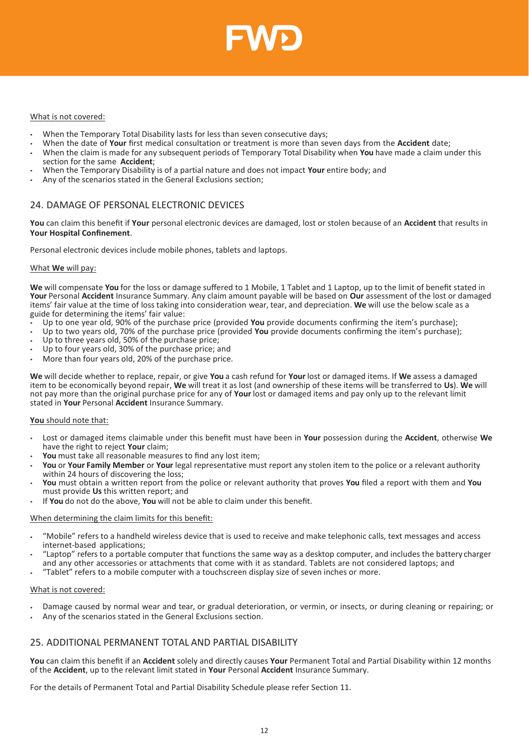

#### What is not covered:

- When the Temporary Total Disability lasts for less than seven consecutive days;
- When the date of **Your** first medical consultation or treatment is more than seven days from the **Accident** date;
- When the claim is made for any subsequent periods of Temporary Total Disability when **You** have made a claim under this section for the same **Accident**;
- When the Temporary Disability is of a partial nature and does not impact **Your** entire body; and
- Any of the scenarios stated in the General Exclusions section;

# <span id="page-11-0"></span>24. DAMAGE OF PERSONAL ELECTRONIC DEVICES

**You** can claim this benefit if **Your** personal electronic devices are damaged, lost or stolen because of an **Accident** that results in **Your Hospital Confinement**.

Personal electronic devices include mobile phones, tablets and laptops.

#### What **We** will pay:

**We** will compensate **You** for the loss or damage suffered to 1 Mobile, 1 Tablet and 1 Laptop, up to the limit of benefit stated in **Your** Personal **Accident** Insurance Summary. Any claim amount payable will be based on **Our** assessment of the lost or damaged items' fair value at the time of loss taking into consideration wear, tear, and depreciation. **We** will use the below scale as a guide for determining the items' fair value:

- Up to one year old, 90% of the purchase price (provided **You** provide documents confirming the item's purchase);
- Up to two years old, 70% of the purchase price (provided **You** provide documents confirming the item's purchase);
- Up to three years old, 50% of the purchase price;
- Up to four years old, 30% of the purchase price; and
- More than four years old, 20% of the purchase price.

**We** will decide whether to replace, repair, or give **You** a cash refund for **Your** lost or damaged items. If **We** assess a damaged item to be economically beyond repair, **We** will treat it as lost (and ownership of these items will be transferred to **Us**). **We** will not pay more than the original purchase price for any of **Your** lost or damaged items and pay only up to the relevant limit stated in **Your** Personal **Accident** Insurance Summary.

#### **You** should note that:

- Lost or damaged items claimable under this benefit must have been in **Your** possession during the **Accident**, otherwise **We** have the right to reject **Your** claim;
- **You** must take all reasonable measures to find any lost item;
- **You** or **Your Family Member** or **Your** legal representative must report any stolen item to the police or a relevant authority within 24 hours of discovering the loss;
- **You** must obtain a written report from the police or relevant authority that proves **You** filed a report with them and **You** must provide **Us** this written report; and
- If **You** do not do the above, **You** will not be able to claim under this benefit.

#### When determining the claim limits for this benefit:

- "Mobile" refers to a handheld wireless device that is used to receive and make telephonic calls, text messages and access internet-based applications;
- "Laptop" refers to a portable computer that functions the same way as a desktop computer, and includes the battery charger and any other accessories or attachments that come with it as standard. Tablets are not considered laptops; and
- "Tablet" refers to a mobile computer with a touchscreen display size of seven inches or more.

#### What is not covered:

- Damage caused by normal wear and tear, or gradual deterioration, or vermin, or insects, or during cleaning or repairing; or
- Any of the scenarios stated in the General Exclusions section.

# <span id="page-11-1"></span>25. ADDITIONAL PERMANENT TOTAL AND PARTIAL DISABILITY

**You** can claim this benefit if an **Accident** solely and directly causes **Your** Permanent Total and Partial Disability within 12 months of the **Accident**, up to the relevant limit stated in **Your** Personal **Accident** Insurance Summary.

For the details of Permanent Total and Partial Disability Schedule please refer Section 11.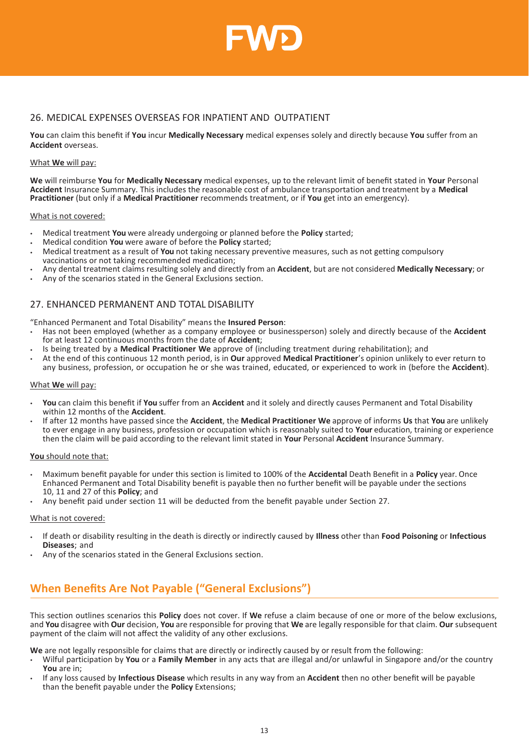

# <span id="page-12-0"></span>26. MEDICAL EXPENSES OVERSEAS FOR INPATIENT AND OUTPATIENT

**You** can claim this benefit if **You** incur **Medically Necessary** medical expenses solely and directly because **You** suffer from an **Accident** overseas.

#### What **We** will pay:

**We** will reimburse **You** for **Medically Necessary** medical expenses, up to the relevant limit of benefit stated in **Your** Personal **Accident** Insurance Summary. This includes the reasonable cost of ambulance transportation and treatment by a **Medical Practitioner** (but only if a **Medical Practitioner** recommends treatment, or if **You** get into an emergency).

#### What is not covered:

- Medical treatment **You** were already undergoing or planned before the **Policy** started;
- Medical condition **You** were aware of before the **Policy** started;
- Medical treatment as a result of **You** not taking necessary preventive measures, such as not getting compulsory vaccinations or not taking recommended medication;
- Any dental treatment claims resulting solely and directly from an **Accident**, but are not considered **Medically Necessary**; or
- Any of the scenarios stated in the General Exclusions section.

# <span id="page-12-1"></span>27. ENHANCED PERMANENT AND TOTAL DISABILITY

"Enhanced Permanent and Total Disability" means the **Insured Person**:

- Has not been employed (whether as a company employee or businessperson) solely and directly because of the **Accident** for at least 12 continuous months from the date of **Accident**;
- Is being treated by a **Medical Practitioner We** approve of (including treatment during rehabilitation); and
- At the end of this continuous 12 month period, is in **Our** approved **Medical Practitioner**'s opinion unlikely to ever return to any business, profession, or occupation he or she was trained, educated, or experienced to work in (before the **Accident**).

#### What **We** will pay:

- **You** can claim this benefit if **You** suffer from an **Accident** and it solely and directly causes Permanent and Total Disability within 12 months of the **Accident**.
- If after 12 months have passed since the **Accident**, the **Medical Practitioner We** approve of informs **Us** that **You** are unlikely to ever engage in any business, profession or occupation which is reasonably suited to **Your** education, training or experience then the claim will be paid according to the relevant limit stated in **Your** Personal **Accident** Insurance Summary.

#### **You** should note that:

- Maximum benefit payable for under this section is limited to 100% of the **Accidental** Death Benefit in a **Policy** year. Once Enhanced Permanent and Total Disability benefit is payable then no further benefit will be payable under the sections 10, 11 and 27 of this **Policy**; and
- Any benefit paid under section 11 will be deducted from the benefit payable under Section 27.

#### What is not covered:

- If death or disability resulting in the death is directly or indirectly caused by **Illness** other than **Food Poisoning** or **Infectious Diseases**; and
- Any of the scenarios stated in the General Exclusions section.

# <span id="page-12-2"></span>**When Benefits Are Not Payable ("General Exclusions")**

This section outlines scenarios this **Policy** does not cover. If **We** refuse a claim because of one or more of the below exclusions, and **You** disagree with **Our** decision, **You** are responsible for proving that **We** are legally responsible for that claim. **Our** subsequent payment of the claim will not affect the validity of any other exclusions.

**We** are not legally responsible for claims that are directly or indirectly caused by or result from the following:

- Wilful participation by **You** or a **Family Member** in any acts that are illegal and/or unlawful in Singapore and/or the country **You** are in;
- If any loss caused by **Infectious Disease** which results in any way from an **Accident** then no other benefit will be payable than the benefit payable under the **Policy** Extensions;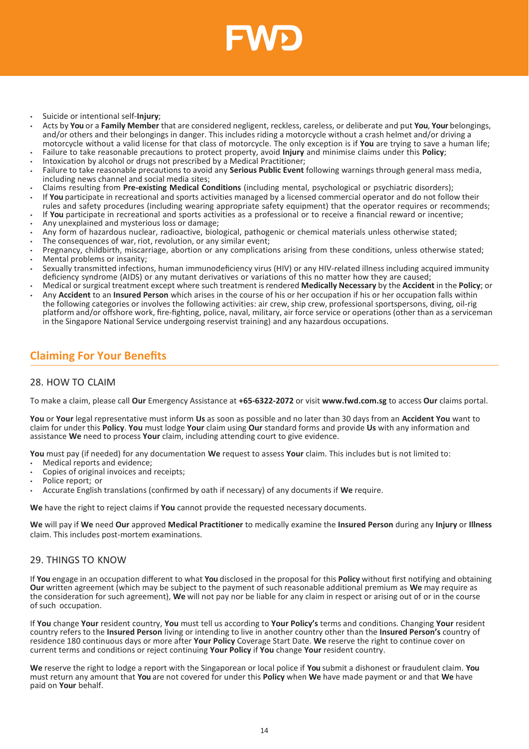

- Suicide or intentional self-**Injury**;
- Acts by **You** or a **Family Member** that are considered negligent, reckless, careless, or deliberate and put **You**, **Your** belongings, and/or others and their belongings in danger. This includes riding a motorcycle without a crash helmet and/or driving a motorcycle without a valid license for that class of motorcycle. The only exception is if **You** are trying to save a human life;
- Failure to take reasonable precautions to protect property, avoid **Injury** and minimise claims under this **Policy**; • Intoxication by alcohol or drugs not prescribed by a Medical Practitioner;
- Failure to take reasonable precautions to avoid any **Serious Public Event** following warnings through general mass media, including news channel and social media sites;
- Claims resulting from **Pre-existing Medical Conditions** (including mental, psychological or psychiatric disorders);
- If **You** participate in recreational and sports activities managed by a licensed commercial operator and do not follow their rules and safety procedures (including wearing appropriate safety equipment) that the operator requires or recommends;
- If **You** participate in recreational and sports activities as a professional or to receive a financial reward or incentive;
- Any unexplained and mysterious loss or damage;
- Any form of hazardous nuclear, radioactive, biological, pathogenic or chemical materials unless otherwise stated;
- The consequences of war, riot, revolution, or any similar event;
- Pregnancy, childbirth, miscarriage, abortion or any complications arising from these conditions, unless otherwise stated; Mental problems or insanity;
- Sexually transmitted infections, human immunodeficiency virus (HIV) or any HIV-related illness including acquired immunity deficiency syndrome (AIDS) or any mutant derivatives or variations of this no matter how they are caused;
- Medical or surgical treatment except where such treatment is rendered **Medically Necessary** by the **Accident** in the **Policy**; or • Any **Accident** to an **Insured Person** which arises in the course of his or her occupation if his or her occupation falls within
- the following categories or involves the following activities: air crew, ship crew, professional sportspersons, diving, oil-rig platform and/or offshore work, fire-fighting, police, naval, military, air force service or operations (other than as a serviceman in the Singapore National Service undergoing reservist training) and any hazardous occupations.

# <span id="page-13-0"></span>**Claiming For Your Benefits**

# <span id="page-13-1"></span>28. HOW TO CLAIM

To make a claim, please call **Our** Emergency Assistance at **+65-6322-2072** or visit **[www.fwd.com.sg](http://www.fwd.com.sg/)** to access **Our** claims portal.

**You** or **Your** legal representative must inform **Us** as soon as possible and no later than 30 days from an **Accident You** want to claim for under this **Policy**. **You** must lodge **Your** claim using **Our** standard forms and provide **Us** with any information and assistance **We** need to process **Your** claim, including attending court to give evidence.

**You** must pay (if needed) for any documentation **We** request to assess **Your** claim. This includes but is not limited to:

- Medical reports and evidence;
- Copies of original invoices and receipts;
- Police report; or
- Accurate English translations (confirmed by oath if necessary) of any documents if **We** require.

**We** have the right to reject claims if **You** cannot provide the requested necessary documents.

**We** will pay if **We** need **Our** approved **Medical Practitioner** to medically examine the **Insured Person** during any **Injury** or **Illness** claim. This includes post-mortem examinations.

# <span id="page-13-2"></span>29. THINGS TO KNOW

If **You** engage in an occupation different to what **You** disclosed in the proposal for this **Policy** without first notifying and obtaining **Our** written agreement (which may be subject to the payment of such reasonable additional premium as **We** may require as the consideration for such agreement), **We** will not pay nor be liable for any claim in respect or arising out of or in the course of such occupation.

If **You** change **Your** resident country, **You** must tell us according to **Your Policy's** terms and conditions. Changing **Your** resident country refers to the **Insured Person** living or intending to live in another country other than the **Insured Person's** country of residence 180 continuous days or more after **Your Policy** Coverage Start Date. **We** reserve the right to continue cover on current terms and conditions or reject continuing **Your Policy** if **You** change **Your** resident country.

**We** reserve the right to lodge a report with the Singaporean or local police if **You** submit a dishonest or fraudulent claim. **You**  must return any amount that **You** are not covered for under this **Policy** when **We** have made payment or and that **We** have paid on **Your** behalf.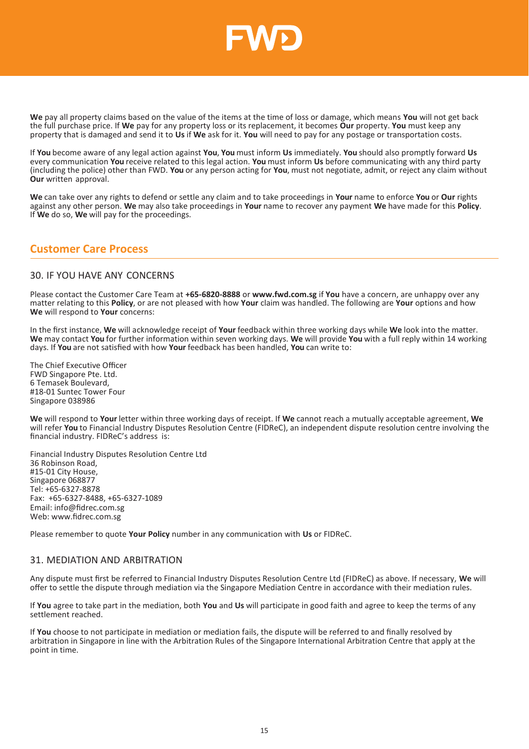

**We** pay all property claims based on the value of the items at the time of loss or damage, which means **You** will not get back the full purchase price. If **We** pay for any property loss or its replacement, it becomes **Our** property. **You** must keep any property that is damaged and send it to **Us** if **We** ask for it. **You** will need to pay for any postage or transportation costs.

If **You** become aware of any legal action against **You**, **You** must inform **Us** immediately. **You** should also promptly forward **Us**  every communication **You** receive related to this legal action. **You** must inform **Us** before communicating with any third party (including the police) other than FWD. **You** or any person acting for **You**, must not negotiate, admit, or reject any claim without **Our** written approval.

**We** can take over any rights to defend or settle any claim and to take proceedings in **Your** name to enforce **You** or **Our** rights against any other person. **We** may also take proceedings in **Your** name to recover any payment **We** have made for this **Policy**. If **We** do so, **We** will pay for the proceedings.

# <span id="page-14-0"></span>**Customer Care Process**

# <span id="page-14-1"></span>30. IF YOU HAVE ANY CONCERNS

Please contact the Customer Care Team at **+65-6820-8888** or **[www.fwd.com.sg](http://www.fwd.com.sg/)** if **You** have a concern, are unhappy over any matter relating to this **Policy**, or are not pleased with how **Your** claim was handled. The following are **Your** options and how **We** will respond to **Your** concerns:

In the first instance, **We** will acknowledge receipt of **Your** feedback within three working days while **We** look into the matter. **We** may contact **You** for further information within seven working days. **We** will provide **You** with a full reply within 14 working days. If **You** are not satisfied with how **Your** feedback has been handled, **You** can write to:

The Chief Executive Officer FWD Singapore Pte. Ltd. 6 Temasek Boulevard, #18-01 Suntec Tower Four Singapore 038986

**We** will respond to **Your** letter within three working days of receipt. If **We** cannot reach a mutually acceptable agreement, **We**  will refer **You** to Financial Industry Disputes Resolution Centre (FIDReC), an independent dispute resolution centre involving the financial industry. FIDReC's address is:

Financial Industry Disputes Resolution Centre Ltd 36 Robinson Road, #15-01 City House, Singapore 068877 Tel: +65-6327-8878 Fax: +65-6327-8488, +65-6327-1089 Email: info@fidrec.com.sg Web: www.fidrec.com.sg

Please remember to quote **Your Policy** number in any communication with **Us** or FIDReC.

# <span id="page-14-2"></span>31. MEDIATION AND ARBITRATION

Any dispute must first be referred to Financial Industry Disputes Resolution Centre Ltd (FIDReC) as above. If necessary, **We** will offer to settle the dispute through mediation via the Singapore Mediation Centre in accordance with their mediation rules.

If **You** agree to take part in the mediation, both **You** and **Us** will participate in good faith and agree to keep the terms of any settlement reached.

If **You** choose to not participate in mediation or mediation fails, the dispute will be referred to and finally resolved by arbitration in Singapore in line with the Arbitration Rules of the Singapore International Arbitration Centre that apply at the point in time.